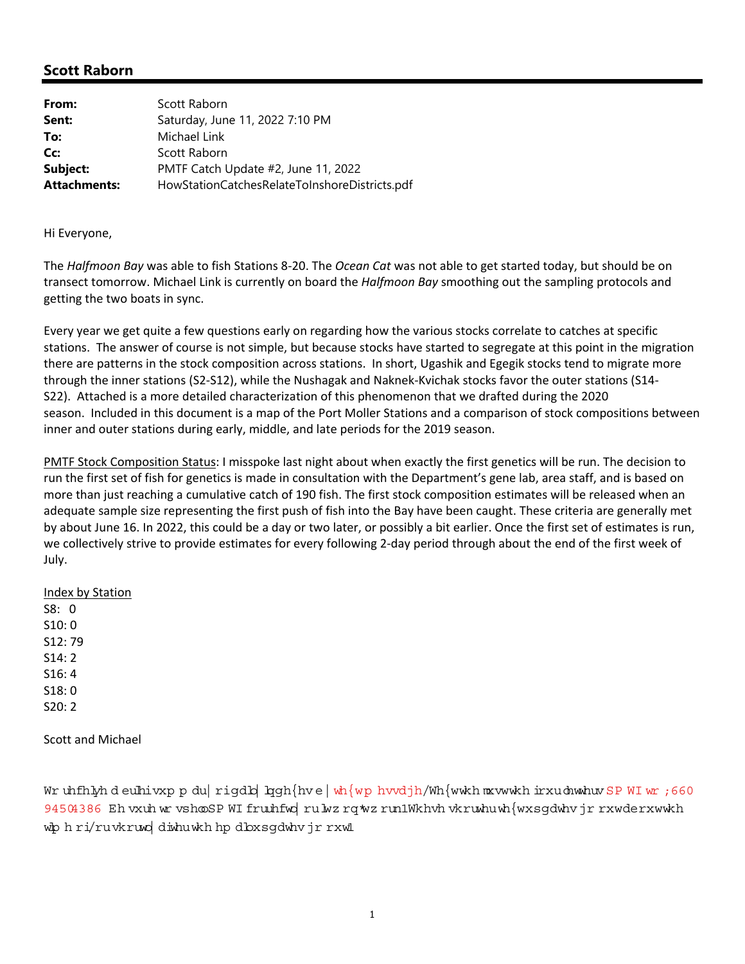## **Scott Raborn**

| From:               | Scott Raborn                                  |
|---------------------|-----------------------------------------------|
| Sent:               | Saturday, June 11, 2022 7:10 PM               |
| To:                 | Michael Link                                  |
| Cc:                 | Scott Raborn                                  |
| Subject:            | PMTF Catch Update #2, June 11, 2022           |
| <b>Attachments:</b> | HowStationCatchesRelateToInshoreDistricts.pdf |

Hi Everyone,

The *Halfmoon Bay* was able to fish Stations 8‐20. The *Ocean Cat* was not able to get started today, but should be on transect tomorrow. Michael Link is currently on board the *Halfmoon Bay* smoothing out the sampling protocols and getting the two boats in sync.

Every year we get quite a few questions early on regarding how the various stocks correlate to catches at specific stations. The answer of course is not simple, but because stocks have started to segregate at this point in the migration there are patterns in the stock composition across stations. In short, Ugashik and Egegik stocks tend to migrate more through the inner stations (S2‐S12), while the Nushagak and Naknek‐Kvichak stocks favor the outer stations (S14‐ S22). Attached is a more detailed characterization of this phenomenon that we drafted during the 2020 season. Included in this document is a map of the Port Moller Stations and a comparison of stock compositions between inner and outer stations during early, middle, and late periods for the 2019 season.

PMTF Stock Composition Status: I misspoke last night about when exactly the first genetics will be run. The decision to run the first set of fish for genetics is made in consultation with the Department's gene lab, area staff, and is based on more than just reaching a cumulative catch of 190 fish. The first stock composition estimates will be released when an adequate sample size representing the first push of fish into the Bay have been caught. These criteria are generally met by about June 16. In 2022, this could be a day or two later, or possibly a bit earlier. Once the first set of estimates is run, we collectively strive to provide estimates for every following 2‐day period through about the end of the first week of July.

### Index by Station

S8: 0 S10: 0 S12: 79 S14: 2 S16: 4 S18: 0 S20: 2

Scott and Michael

Wr uhfhlyhd eulhivxp p du rigdb han fhve wh fw phydjh/Wh with m x with ir xuduw huw SP WI wr ; 660 94504386 Eh vxuh w rvshooSP WI fruuhfwo ru w z ro w z run1Wkhvh vkruwhu wh {wxsodwhv jr rxwderxwwkh wh hri/ruvkruwo diwhuwkh hp dbxsqdwhvjrrxwl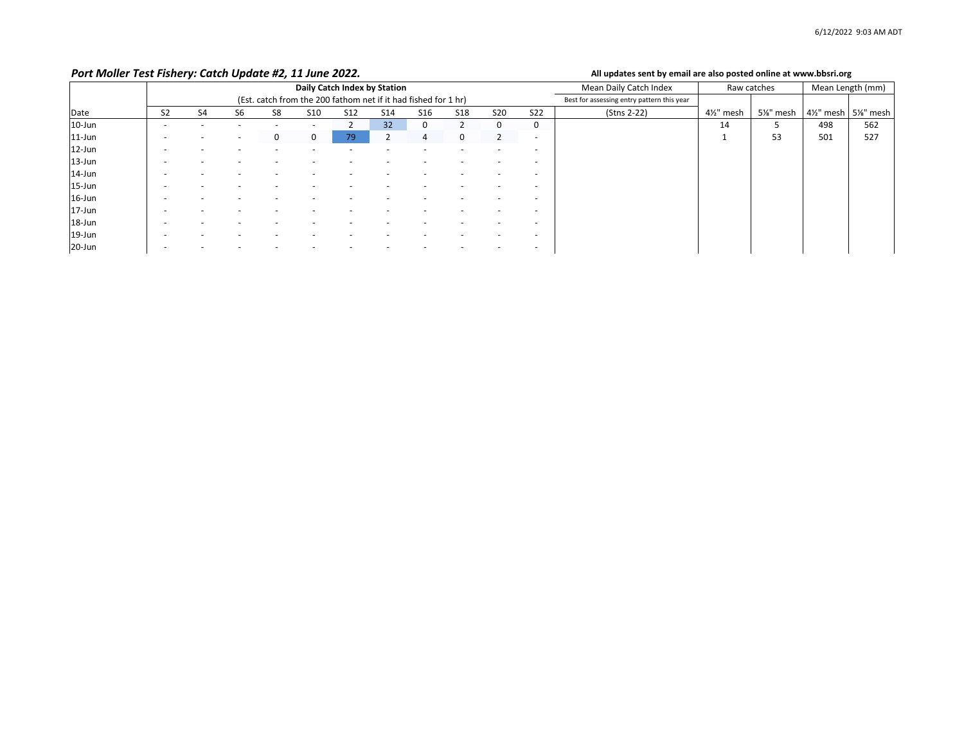#### *Port Moller*

#### All updates sent by email are also posted online at www.bbsri.org

|            | Daily Catch Index by Station |                                                                |    |    |                 |            |            |     |            | Mean Daily Catch Index | Raw catches              |                                            | Mean Length (mm) |          |                         |          |
|------------|------------------------------|----------------------------------------------------------------|----|----|-----------------|------------|------------|-----|------------|------------------------|--------------------------|--------------------------------------------|------------------|----------|-------------------------|----------|
|            |                              | (Est. catch from the 200 fathom net if it had fished for 1 hr) |    |    |                 |            |            |     |            |                        |                          | Best for assessing entry pattern this year |                  |          |                         |          |
| Date       | S <sub>2</sub>               | S <sub>4</sub>                                                 | S6 | S8 | S <sub>10</sub> | <b>S12</b> | <b>S14</b> | S16 | <b>S18</b> | <b>S20</b>             | <b>S22</b>               | (Stns 2-22)                                | 4½" mesh         | 5%" mesh | 41/ <sub>2</sub> " mesh | 5%" mesh |
| $10$ -Jun  |                              |                                                                |    |    |                 |            | 32         | 0   |            | 0                      | 0                        |                                            | 14               |          | 498                     | 562      |
| $11$ -Jun  |                              |                                                                |    | 0  | 0               | 79         |            | 4   | 0          |                        | $\overline{\phantom{a}}$ |                                            |                  | 53       | 501                     | 527      |
| $12$ -Jun  |                              |                                                                |    |    |                 |            |            |     |            |                        | $\overline{\phantom{a}}$ |                                            |                  |          |                         |          |
| 13-Jun     |                              |                                                                |    |    |                 |            |            |     |            |                        | $\overline{\phantom{a}}$ |                                            |                  |          |                         |          |
| $14$ -Jun  |                              |                                                                |    |    |                 |            |            |     |            |                        |                          |                                            |                  |          |                         |          |
| $15 - Jun$ |                              |                                                                |    |    |                 |            |            |     |            |                        |                          |                                            |                  |          |                         |          |
| $16$ -Jun  |                              |                                                                |    |    |                 |            |            |     |            |                        | $\overline{\phantom{a}}$ |                                            |                  |          |                         |          |
| $17$ -Jun  |                              |                                                                |    |    |                 |            |            |     |            |                        |                          |                                            |                  |          |                         |          |
| 18-Jun     |                              |                                                                |    |    |                 |            |            |     |            |                        | $\overline{\phantom{a}}$ |                                            |                  |          |                         |          |
| 19-Jun     |                              |                                                                |    |    |                 |            |            |     |            |                        | $\overline{\phantom{a}}$ |                                            |                  |          |                         |          |
| $20$ -Jun  |                              |                                                                |    |    |                 |            |            |     |            |                        |                          |                                            |                  |          |                         |          |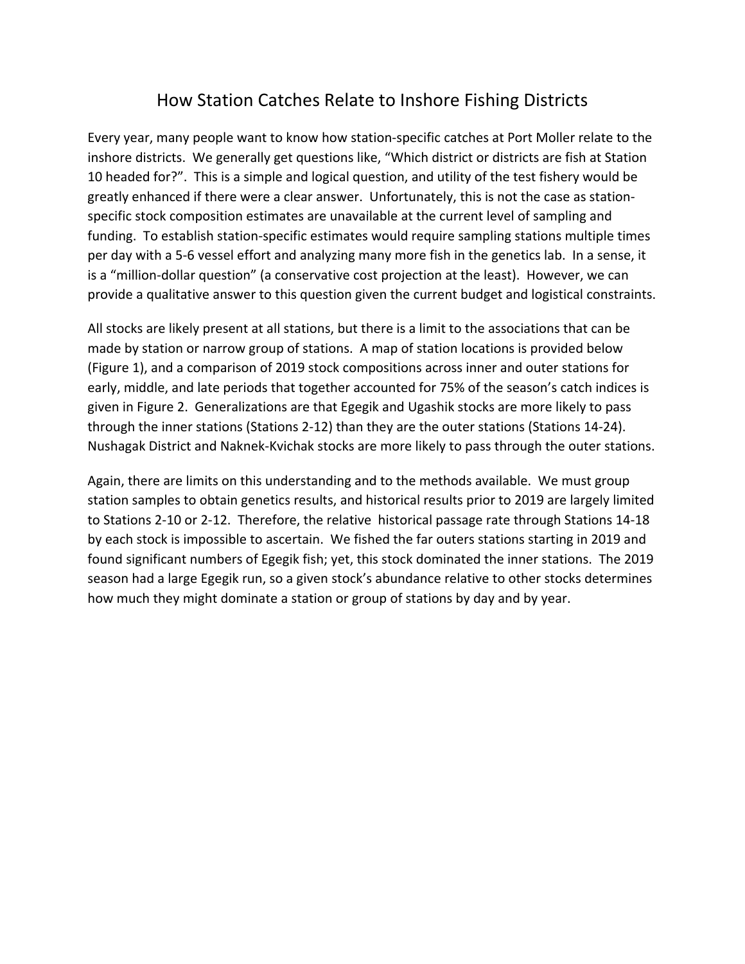# How Station Catches Relate to Inshore Fishing Districts

Every year, many people want to know how station‐specific catches at Port Moller relate to the inshore districts. We generally get questions like, "Which district or districts are fish at Station 10 headed for?". This is a simple and logical question, and utility of the test fishery would be greatly enhanced if there were a clear answer. Unfortunately, this is not the case as station‐ specific stock composition estimates are unavailable at the current level of sampling and funding. To establish station‐specific estimates would require sampling stations multiple times per day with a 5‐6 vessel effort and analyzing many more fish in the genetics lab. In a sense, it is a "million-dollar question" (a conservative cost projection at the least). However, we can provide a qualitative answer to this question given the current budget and logistical constraints.

All stocks are likely present at all stations, but there is a limit to the associations that can be made by station or narrow group of stations. A map of station locations is provided below (Figure 1), and a comparison of 2019 stock compositions across inner and outer stations for early, middle, and late periods that together accounted for 75% of the season's catch indices is given in Figure 2. Generalizations are that Egegik and Ugashik stocks are more likely to pass through the inner stations (Stations 2‐12) than they are the outer stations (Stations 14‐24). Nushagak District and Naknek‐Kvichak stocks are more likely to pass through the outer stations.

Again, there are limits on this understanding and to the methods available. We must group station samples to obtain genetics results, and historical results prior to 2019 are largely limited to Stations 2‐10 or 2‐12. Therefore, the relative historical passage rate through Stations 14‐18 by each stock is impossible to ascertain. We fished the far outers stations starting in 2019 and found significant numbers of Egegik fish; yet, this stock dominated the inner stations. The 2019 season had a large Egegik run, so a given stock's abundance relative to other stocks determines how much they might dominate a station or group of stations by day and by year.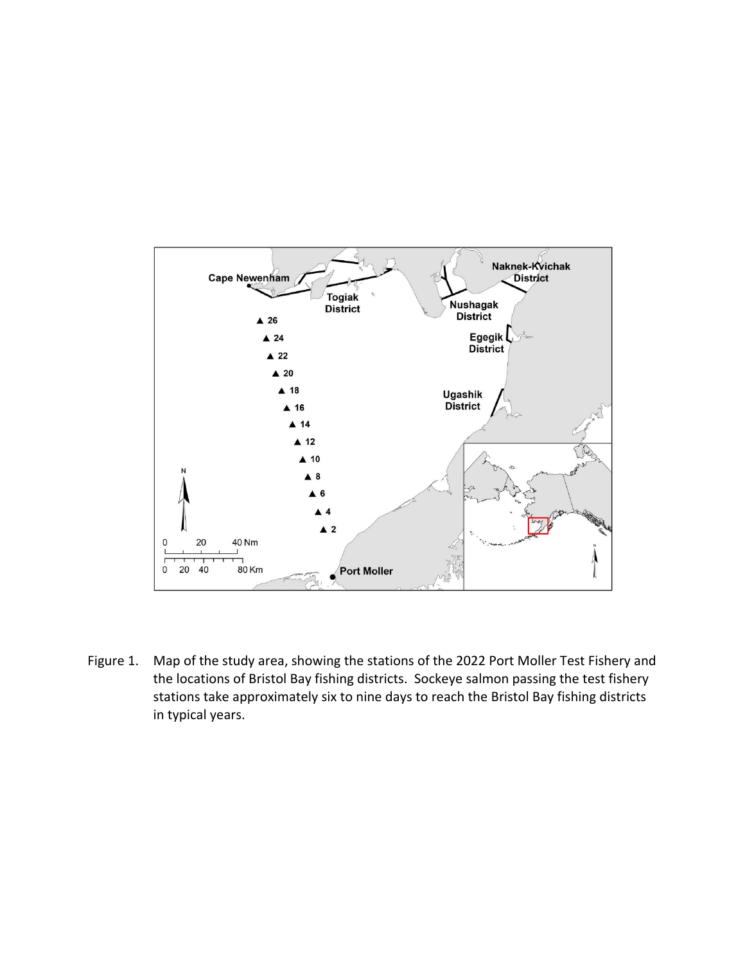

Figure 1. Map of the study area, showing the stations of the 2022 Port Moller Test Fishery and the locations of Bristol Bay fishing districts. Sockeye salmon passing the test fishery stations take approximately six to nine days to reach the Bristol Bay fishing districts in typical years.